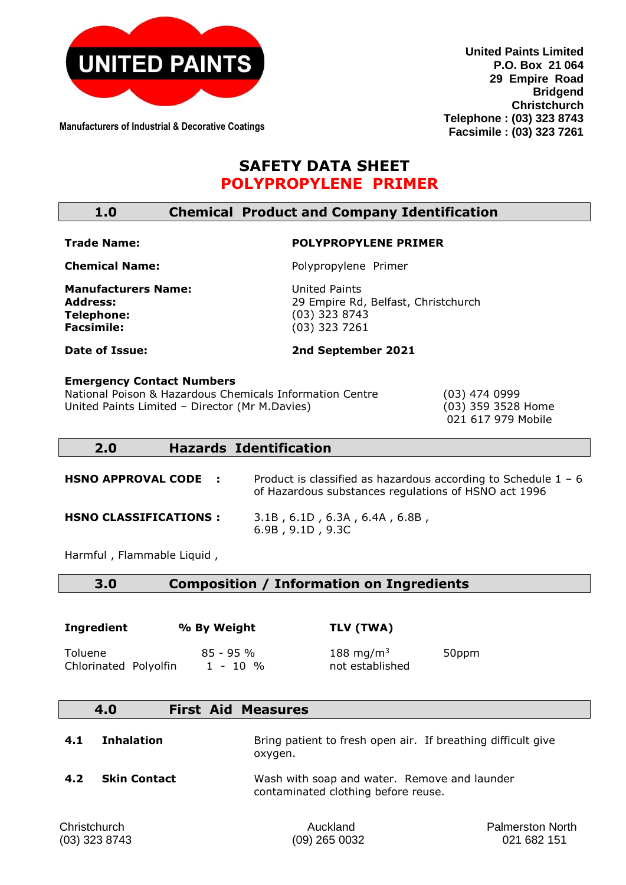

**Manufacturers of Industrial & Decorative Coatings**

**United Paints Limited P.O. Box 21 064 29 Empire Road Bridgend Christchurch Telephone : (03) 323 8743 Facsimile : (03) 323 7261**

# **SAFETY DATA SHEET POLYPROPYLENE PRIMER**

| 1.0 |  |  |  | <b>Chemical Product and Company Identification</b> |
|-----|--|--|--|----------------------------------------------------|
|-----|--|--|--|----------------------------------------------------|

#### **Trade Name:**

# **POLYPROPYLENE PRIMER**

**Chemical Name:** 

Polypropylene Primer

**2nd September 2021**

**Manufacturers Name: Address: Telephone: Facsimile:** 

United Paints 29 Empire Rd, Belfast, Christchurch (03) 323 8743 (03) 323 7261

**Date of Issue:** 

**Emergency Contact Numbers**  National Poison & Hazardous Chemicals Information Centre (03) 474 0999 United Paints Limited – Director (Mr M.Davies) (03) 359 3528 Home

021 617 979 Mobile

#### **2.0 Hazards Identification**

**HSNO APPROVAL CODE :** Product is classified as hazardous according to Schedule 1 - 6 of Hazardous substances regulations of HSNO act 1996 **HSNO CLASSIFICATIONS :** 3.1B , 6.1D , 6.3A , 6.4A , 6.8B , 6.9B , 9.1D , 9.3C

Harmful , Flammable Liquid ,

#### **3.0 Composition / Information on Ingredients**

| Ingredient            | % By Weight | TLV (TWA)             |       |
|-----------------------|-------------|-----------------------|-------|
| Toluene               | $85 - 95%$  | 188 mg/m <sup>3</sup> | 50ppm |
| Chlorinated Polyolfin | $1 - 10 %$  | not established       |       |

| 4.0<br><b>First Aid Measures</b> |  |
|----------------------------------|--|
|----------------------------------|--|

| 4.1 | <b>Inhalation</b> | Bring patient to fresh open air. If breathing difficult give<br>oxvgen. |
|-----|-------------------|-------------------------------------------------------------------------|
| 4.2 | Skin Contact      | Wash with soap and water. Remove and launder                            |

contaminated clothing before reuse.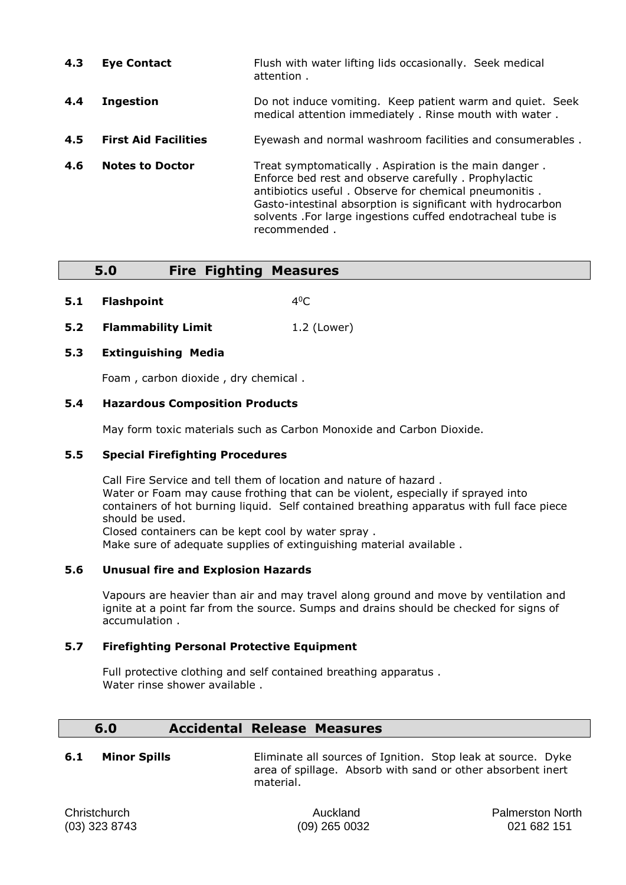| 4.3 | <b>Eye Contact</b>          | Flush with water lifting lids occasionally. Seek medical<br>attention.                                                                                                                                                                                                                                                |
|-----|-----------------------------|-----------------------------------------------------------------------------------------------------------------------------------------------------------------------------------------------------------------------------------------------------------------------------------------------------------------------|
| 4.4 | <b>Ingestion</b>            | Do not induce vomiting. Keep patient warm and quiet. Seek<br>medical attention immediately . Rinse mouth with water.                                                                                                                                                                                                  |
| 4.5 | <b>First Aid Facilities</b> | Eyewash and normal washroom facilities and consumerables.                                                                                                                                                                                                                                                             |
| 4.6 | <b>Notes to Doctor</b>      | Treat symptomatically. Aspiration is the main danger.<br>Enforce bed rest and observe carefully . Prophylactic<br>antibiotics useful. Observe for chemical pneumonitis.<br>Gasto-intestinal absorption is significant with hydrocarbon<br>solvents . For large ingestions cuffed endotracheal tube is<br>recommended. |

### **5.0 Fire Fighting Measures**

- **5.1 Flashpoint** 4  $4^0C$
- **5.2 Flammability Limit** 1.2 (Lower)

#### **5.3 Extinguishing Media**

Foam , carbon dioxide , dry chemical .

#### **5.4 Hazardous Composition Products**

May form toxic materials such as Carbon Monoxide and Carbon Dioxide.

#### **5.5 Special Firefighting Procedures**

Call Fire Service and tell them of location and nature of hazard . Water or Foam may cause frothing that can be violent, especially if sprayed into containers of hot burning liquid. Self contained breathing apparatus with full face piece should be used. Closed containers can be kept cool by water spray .

Make sure of adequate supplies of extinguishing material available .

#### **5.6 Unusual fire and Explosion Hazards**

Vapours are heavier than air and may travel along ground and move by ventilation and ignite at a point far from the source. Sumps and drains should be checked for signs of accumulation .

#### **5.7 Firefighting Personal Protective Equipment**

Full protective clothing and self contained breathing apparatus . Water rinse shower available .

#### **6.0 Accidental Release Measures**

**6.1 Minor Spills** Eliminate all sources of Ignition. Stop leak at source. Dyke area of spillage. Absorb with sand or other absorbent inert material.

Christchurch Auckland Palmerston North (03) 323 8743 (09) 265 0032 021 682 151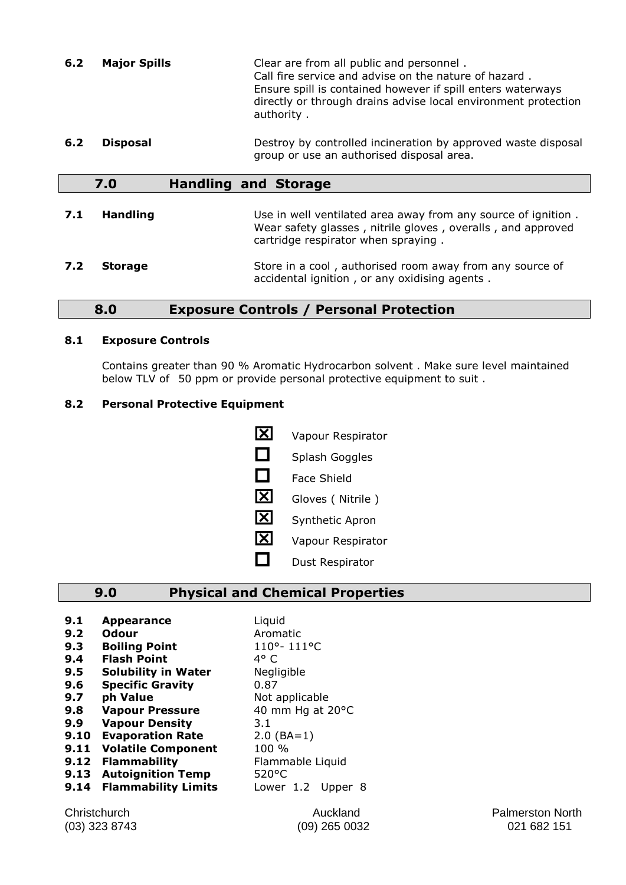- **6.2 Major Spills** Clear are from all public and personnel . Call fire service and advise on the nature of hazard . Ensure spill is contained however if spill enters waterways directly or through drains advise local environment protection authority .
- **6.2 Disposal Destroy by controlled incineration by approved waste disposal** group or use an authorised disposal area.

#### **7.0 Handling and Storage**

**7.1 <b>Handling** Use in well ventilated area away from any source of ignition. Wear safety glasses , nitrile gloves , overalls , and approved cartridge respirator when spraying . **7.2 Storage** Store in a cool, authorised room away from any source of

# **8.0 Exposure Controls / Personal Protection**

#### **8.1 Exposure Controls**

Contains greater than 90 % Aromatic Hydrocarbon solvent . Make sure level maintained below TLV of 50 ppm or provide personal protective equipment to suit .

accidental ignition , or any oxidising agents .

#### **8.2 Personal Protective Equipment**

X Vapour Respirator  $\Box$  Splash Goggles  $\Box$  Face Shield  $\overline{\mathbf{X}}$  Gloves ( Nitrile ) Synthetic Apron **X** Vapour Respirator  $\Box$  Dust Respirator

#### **9.0 Physical and Chemical Properties**

- **9.1 Appearance** Liquid
- **9.2 Odour Aromatic 9.3 Boiling Point** 110°- 111°C
- **9.4 Flash Point** 4° C
- **9.5 Solubility in Water** Negligible
- **9.6 Specific Gravity** 0.87
- 
- 
- **9.9 Vapour Density** 3.1
- 
- **9.10 Evaporation Rate** 2.0 (BA=1)
- **9.12 Flammability**
- **9.13 Autoignition Temp** 520°C
- **9.14 Flammability Limits** Lower 1.2 Upper 8

**9.7 ph Value** Not applicable **9.8 • Vapour Pressure** 40 mm Hg at 20°C **9.11 Volatile Component** 100 %<br>**9.12 Flammability** Flammable Liquid

Christchurch Auckland Palmerston North (03) 323 8743 (09) 265 0032 021 682 151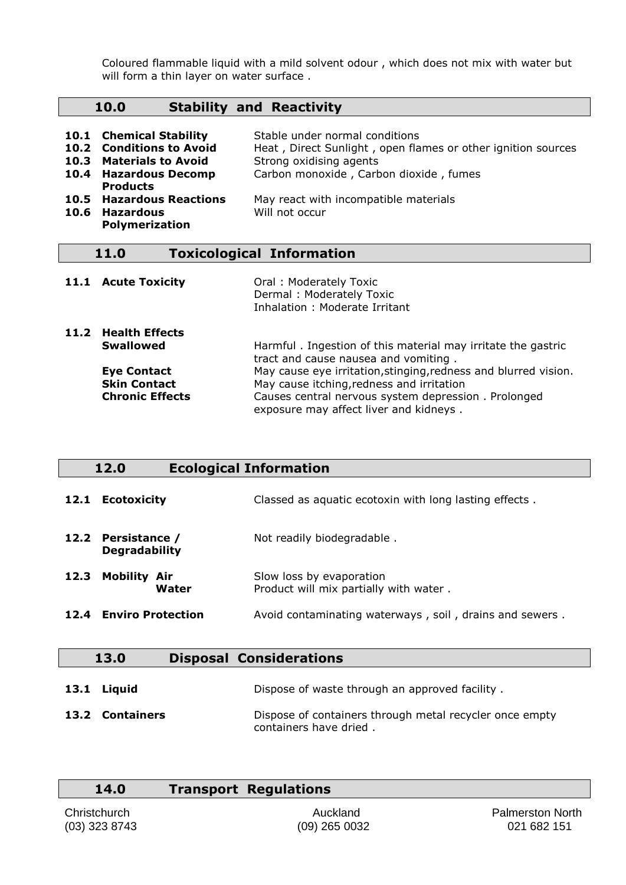Coloured flammable liquid with a mild solvent odour , which does not mix with water but will form a thin layer on water surface.

### **10.0 Stability and Reactivity**

| 10.1 Chemical Stability<br>10.2 Conditions to Avoid<br>10.3 Materials to Avoid<br>10.4 Hazardous Decomp<br><b>Products</b> | Stable under normal conditions<br>Heat, Direct Sunlight, open flames or other ignition sources<br>Strong oxidising agents<br>Carbon monoxide, Carbon dioxide, fumes |
|----------------------------------------------------------------------------------------------------------------------------|---------------------------------------------------------------------------------------------------------------------------------------------------------------------|
| <b>10.5 Hazardous Reactions</b><br>10.6 Hazardous<br><b>Polymerization</b>                                                 | May react with incompatible materials<br>Will not occur                                                                                                             |

### **11.0 Toxicological Information**

| 11.1 Acute Toxicity                                                 | Oral: Moderately Toxic<br>Dermal: Moderately Toxic<br>Inhalation: Moderate Irritant                                                                                                                           |
|---------------------------------------------------------------------|---------------------------------------------------------------------------------------------------------------------------------------------------------------------------------------------------------------|
| 11.2 Health Effects<br><b>Swallowed</b>                             | Harmful. Ingestion of this material may irritate the gastric<br>tract and cause nausea and vomiting.                                                                                                          |
| <b>Eye Contact</b><br><b>Skin Contact</b><br><b>Chronic Effects</b> | May cause eye irritation, stinging, redness and blurred vision.<br>May cause itching, redness and irritation<br>Causes central nervous system depression. Prolonged<br>exposure may affect liver and kidneys. |

# **12.0 Ecological Information**

| 12.1 | <b>Ecotoxicity</b>                         | Classed as aquatic ecotoxin with long lasting effects.             |
|------|--------------------------------------------|--------------------------------------------------------------------|
|      | 12.2 Persistance /<br><b>Degradability</b> | Not readily biodegradable.                                         |
| 12.3 | <b>Mobility Air</b><br>Water               | Slow loss by evaporation<br>Product will mix partially with water. |
| 12.4 | <b>Enviro Protection</b>                   | Avoid contaminating waterways, soil, drains and sewers.            |

| 13.0            | <b>Disposal Considerations</b>                                                    |
|-----------------|-----------------------------------------------------------------------------------|
| 13.1 Liquid     | Dispose of waste through an approved facility.                                    |
| 13.2 Containers | Dispose of containers through metal recycler once empty<br>containers have dried. |

| 14.0 | <b>Transport Regulations</b> |
|------|------------------------------|
|      |                              |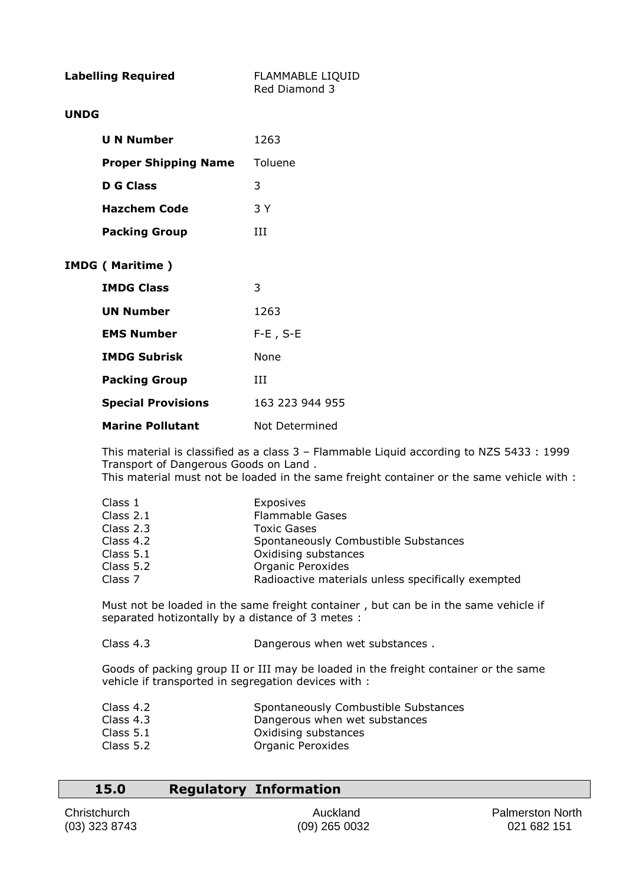| <b>Labelling Required</b> |                             | <b>FLAMMABLE LIQUID</b><br>Red Diamond 3 |
|---------------------------|-----------------------------|------------------------------------------|
| <b>UNDG</b>               |                             |                                          |
|                           | <b>U N Number</b>           | 1263                                     |
|                           | <b>Proper Shipping Name</b> | Toluene                                  |
|                           | <b>D</b> G Class            | 3                                        |
|                           | <b>Hazchem Code</b>         | 3 Y                                      |
|                           | <b>Packing Group</b>        | ИI                                       |
|                           | <b>IMDG ( Maritime )</b>    |                                          |
|                           | <b>IMDG Class</b>           | 3                                        |
|                           | <b>UN Number</b>            | 1263                                     |
|                           | <b>EMS Number</b>           | $F-E$ , $S-E$                            |
|                           | <b>IMDG Subrisk</b>         | <b>None</b>                              |
|                           | <b>Packing Group</b>        | Ш                                        |
|                           | <b>Special Provisions</b>   | 163 223 944 955                          |
|                           | <b>Marine Pollutant</b>     | Not Determined                           |

This material is classified as a class 3 – Flammable Liquid according to NZS 5433 : 1999 Transport of Dangerous Goods on Land . This material must not be loaded in the same freight container or the same vehicle with :

| Class 1     | Exposives                            |
|-------------|--------------------------------------|
| Class $2.1$ | <b>Flammable Gases</b>               |
| Class $2.3$ | Toxic Gases                          |
| Class $4.2$ | Spontaneously Combustible Substances |
| Class $5.1$ | Oxidising substances                 |

Class 5.2 Organic Peroxides

| Class 7 | Radioactive materials unless specifically exempted |  |
|---------|----------------------------------------------------|--|

Must not be loaded in the same freight container , but can be in the same vehicle if separated hotizontally by a distance of 3 metes :

Class 4.3 Dangerous when wet substances .

Goods of packing group II or III may be loaded in the freight container or the same vehicle if transported in segregation devices with :

| Class 4.2 | Spontaneously Combustible Substances |
|-----------|--------------------------------------|
| Class 4.3 | Dangerous when wet substances        |
| Class 5.1 | Oxidising substances                 |
| Class 5.2 | Organic Peroxides                    |

| 15.0 |  | <b>Regulatory Information</b> |
|------|--|-------------------------------|
|------|--|-------------------------------|